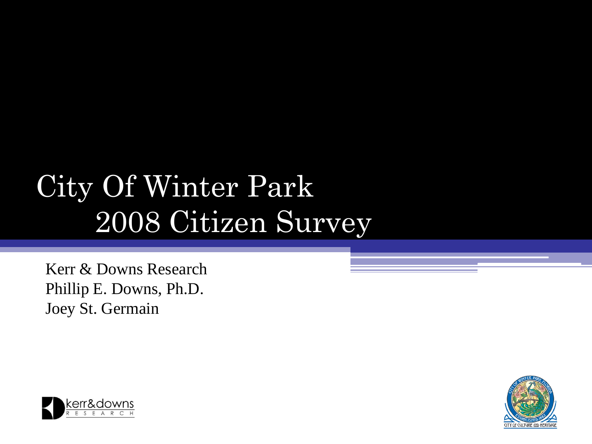# City Of Winter Park 2008 Citizen Survey

Kerr & Downs Research Phillip E. Downs, Ph.D. Joey St. Germain



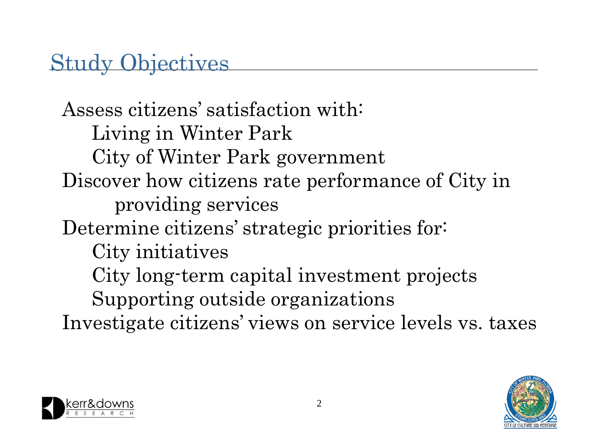### Study Objectives

Assess citizens' satisfaction with: Living in Winter Park City of Winter Park government Discover how citizens rate performance of City in providing services Determine citizens' strategic priorities for: City initiatives City long-term capital investment projects Supporting outside organizations Investigate citizens' views on service levels vs. taxes



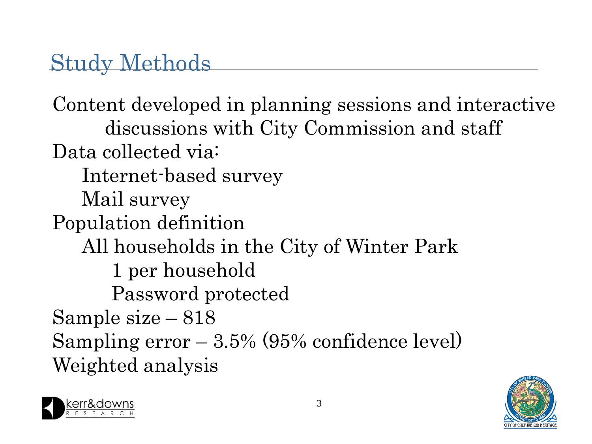#### Study Methods

Content developed in planning sessions and interactive discussions with City Commission and staff Data collected via: Internet-based survey Mail survey Population definition All households in the City of Winter Park 1 per household Password protected Sample size – 818 Sampling  $error - 3.5\%$  (95% confidence level) Weighted analysis



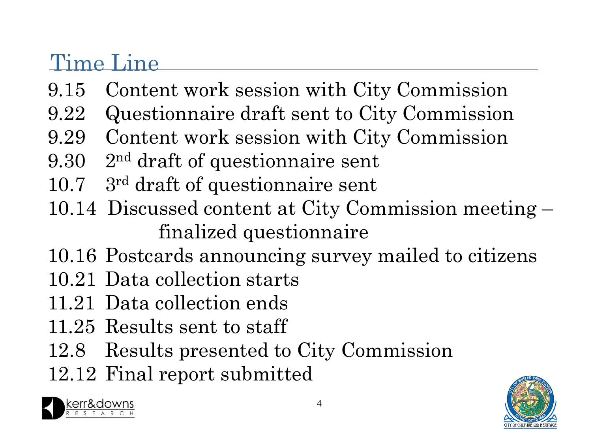#### Time Line

- 9.15 Content work session with City Commission
- 9.22 Questionnaire draft sent to City Commission
- 9.29 Content work session with City Commission
- 9.30 2 nd draft of questionnaire sent
- 10.7 3 rd draft of questionnaire sent
- 10.14 Discussed content at City Commission meeting finalized questionnaire
- 10.16 Postcards announcing survey mailed to citizens
- 10.21 Data collection starts
- 11.21 Data collection ends
- 11.25 Results sent to staff
- 12.8 Results presented to City Commission
- 12.12 Final report submitted

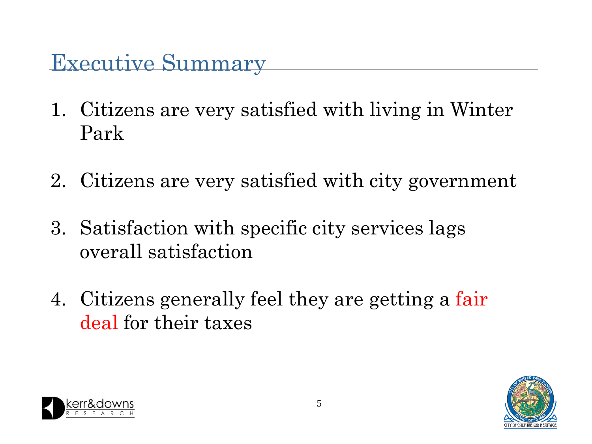- 1. Citizens are very satisfied with living in Winter Park
- 2. Citizens are very satisfied with city government
- 3. Satisfaction with specific city services lags overall satisfaction
- 4. Citizens generally feel they are getting a fair deal for their taxes



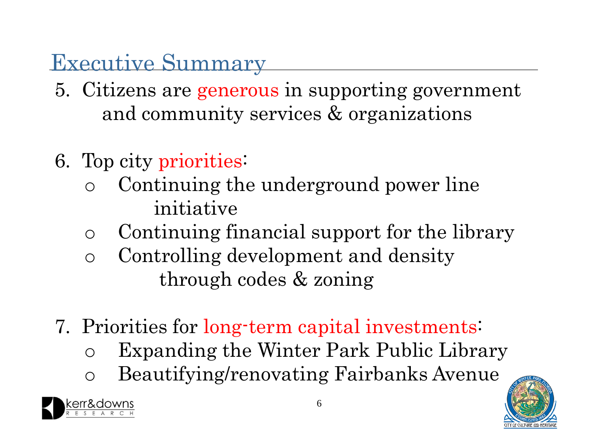- 5. Citizens are generous in supporting government and community services & organizations
- 6. Top city priorities:
	- o Continuing the underground power line initiative
	- o Continuing financial support for the library
	- o Controlling development and density through codes & zoning
- 7. Priorities for long-term capital investments:
	- o Expanding the Winter Park Public Library
	- o Beautifying/renovating Fairbanks Avenue

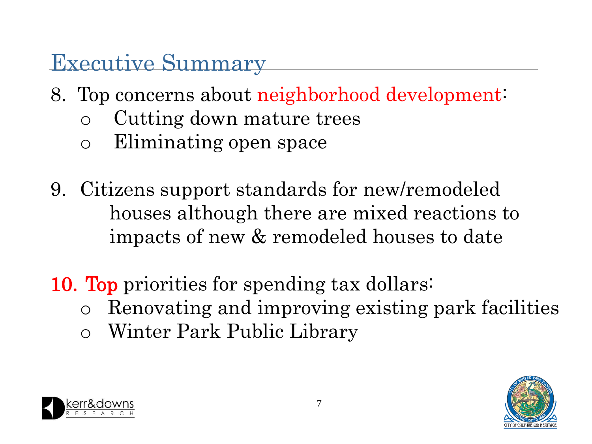- 8. Top concerns about neighborhood development:
	- o Cutting down mature trees
	- o Eliminating open space
- 9. Citizens support standards for new/remodeled houses although there are mixed reactions to impacts of new & remodeled houses to date
- 10. Top priorities for spending tax dollars:
	- o Renovating and improving existing park facilities
	- o Winter Park Public Library



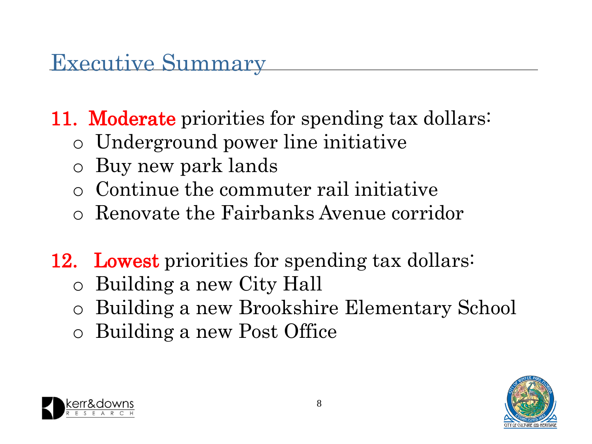11. Moderate priorities for spending tax dollars:

- o Underground power line initiative
- o Buy new park lands
- o Continue the commuter rail initiative
- o Renovate the Fairbanks Avenue corridor
- 12. Lowest priorities for spending tax dollars:
	- o Building a new City Hall
	- o Building a new Brookshire Elementary School
	- o Building a new Post Office



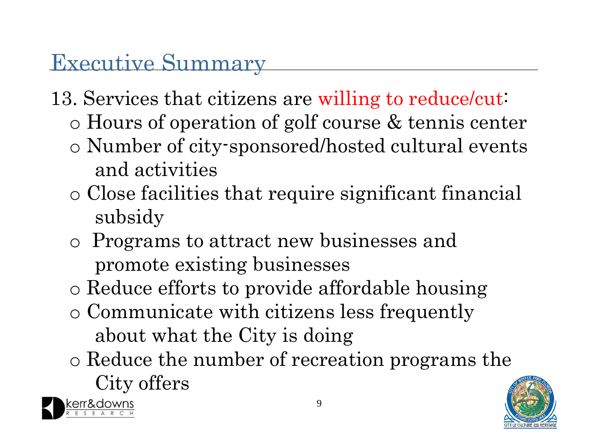- 13. Services that citizens are willing to reduce/cut:
	- o Hours of operation of golf course & tennis center
	- o Number of city-sponsored/hosted cultural events and activities
	- o Close facilities that require significant financial subsidy
	- o Programs to attract new businesses and promote existing businesses
	- o Reduce efforts to provide affordable housing
	- o Communicate with citizens less frequently about what the City is doing
	- o Reduce the number of recreation programs the City offers



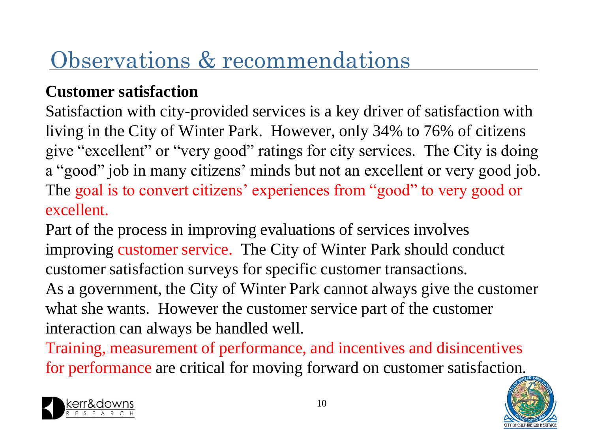#### **Customer satisfaction**

Satisfaction with city-provided services is a key driver of satisfaction with living in the City of Winter Park. However, only 34% to 76% of citizens give "excellent" or "very good" ratings for city services. The City is doing a "good" job in many citizens' minds but not an excellent or very good job. The goal is to convert citizens' experiences from "good" to very good or excellent.

Part of the process in improving evaluations of services involves improving customer service. The City of Winter Park should conduct customer satisfaction surveys for specific customer transactions. As a government, the City of Winter Park cannot always give the customer what she wants. However the customer service part of the customer interaction can always be handled well.

Training, measurement of performance, and incentives and disincentives for performance are critical for moving forward on customer satisfaction.



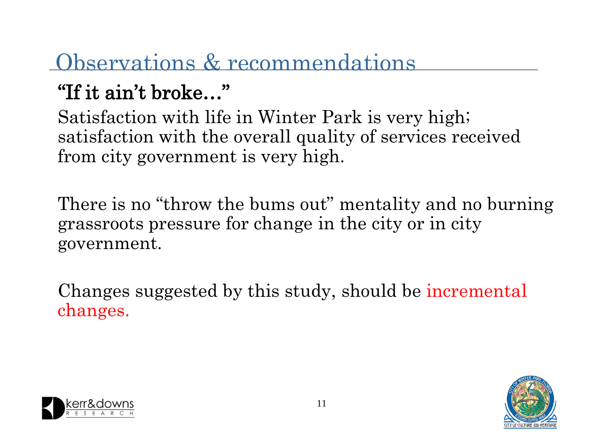### "If it ain't broke…"

Satisfaction with life in Winter Park is very high; satisfaction with the overall quality of services received from city government is very high.

There is no "throw the bums out" mentality and no burning grassroots pressure for change in the city or in city government.

Changes suggested by this study, should be incremental changes.



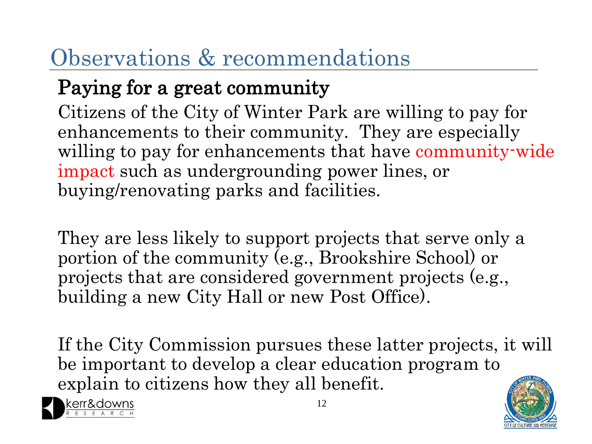#### Paying for a great community

Citizens of the City of Winter Park are willing to pay for enhancements to their community. They are especially willing to pay for enhancements that have community-wide impact such as undergrounding power lines, or buying/renovating parks and facilities.

They are less likely to support projects that serve only a portion of the community (e.g., Brookshire School) or projects that are considered government projects (e.g., building a new City Hall or new Post Office).

If the City Commission pursues these latter projects, it will be important to develop a clear education program to explain to citizens how they all benefit.



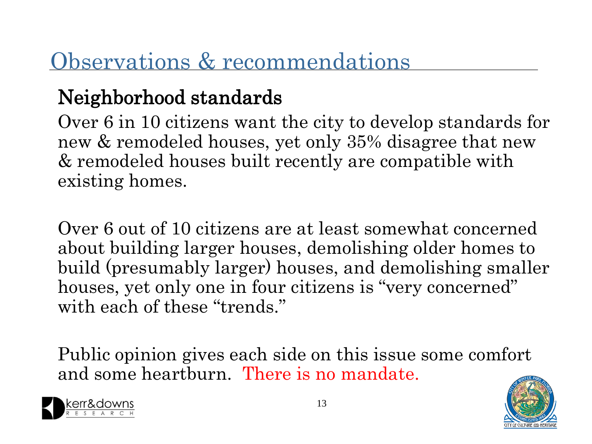#### Neighborhood standards

Over 6 in 10 citizens want the city to develop standards for new & remodeled houses, yet only 35% disagree that new & remodeled houses built recently are compatible with existing homes.

Over 6 out of 10 citizens are at least somewhat concerned about building larger houses, demolishing older homes to build (presumably larger) houses, and demolishing smaller houses, yet only one in four citizens is "very concerned" with each of these "trends."

Public opinion gives each side on this issue some comfort and some heartburn. There is no mandate.



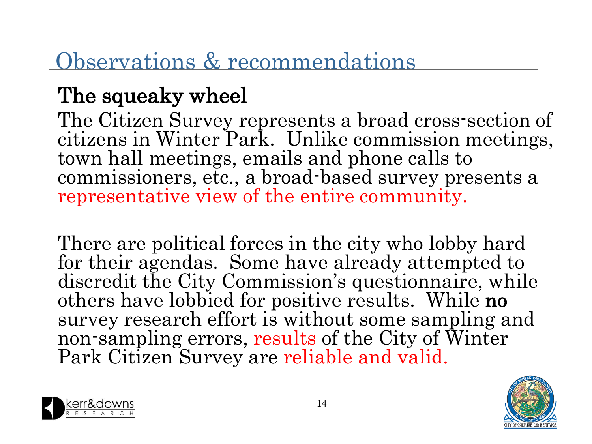## The squeaky wheel

The Citizen Survey represents a broad cross-section of citizens in Winter Park. Unlike commission meetings, town hall meetings, emails and phone calls to commissioners, etc., a broad-based survey presents a representative view of the entire community.

There are political forces in the city who lobby hard for their agendas. Some have already attempted to discredit the City Commission's questionnaire, while others have lobbied for positive results. While no survey research effort is without some sampling and non-sampling errors, results of the City of Winter Park Citizen Survey are reliable and valid.



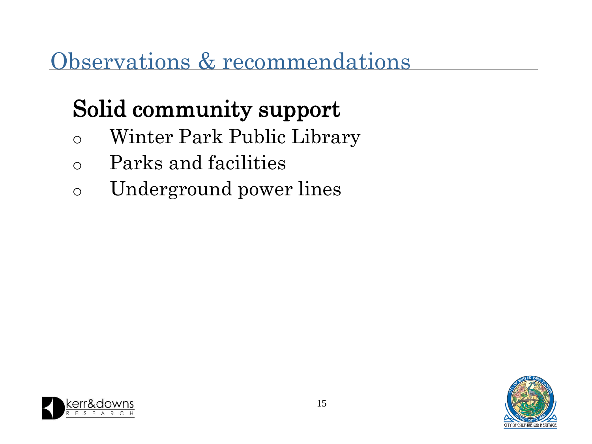# Solid community support

- o Winter Park Public Library
- o Parks and facilities
- o Underground power lines



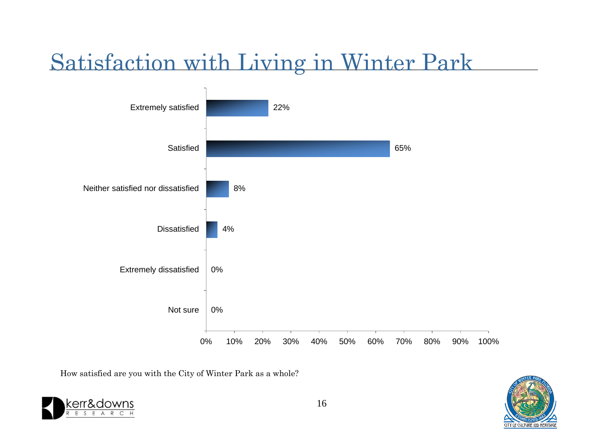### Satisfaction with Living in Winter Park



How satisfied are you with the City of Winter Park as a whole?



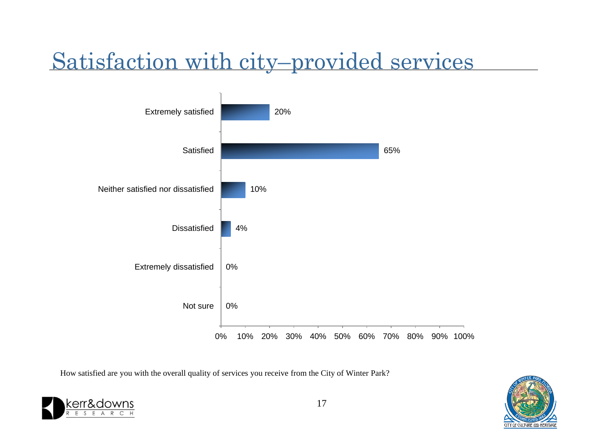## Satisfaction with city–provided services



How satisfied are you with the overall quality of services you receive from the City of Winter Park?



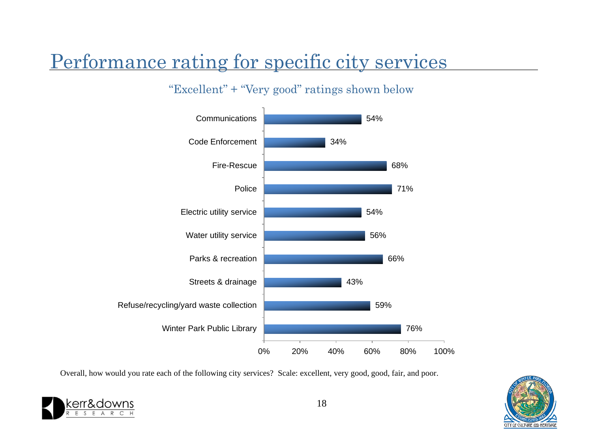#### Performance rating for specific city services

#### "Excellent" + "Very good" ratings shown below



Overall, how would you rate each of the following city services? Scale: excellent, very good, good, fair, and poor.



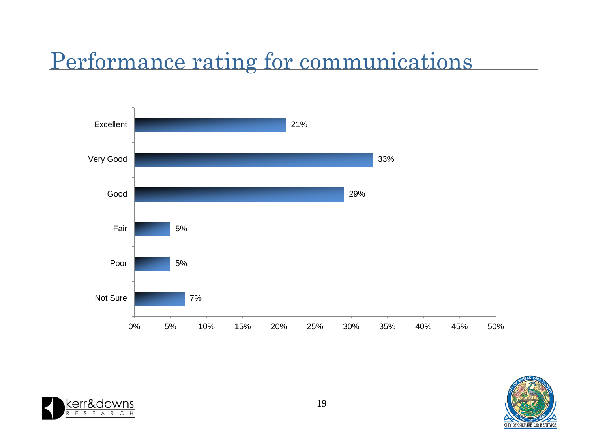### Performance rating for communications





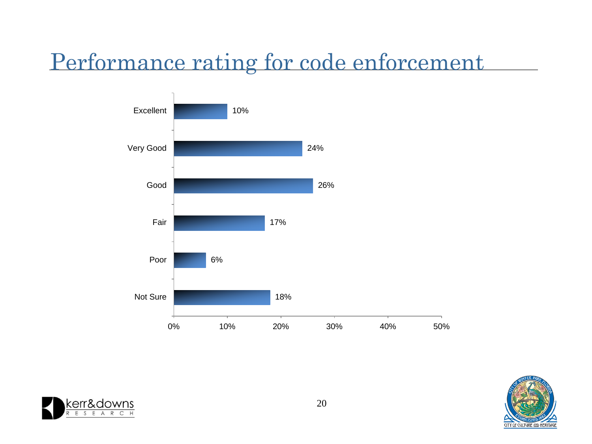#### Performance rating for code enforcement





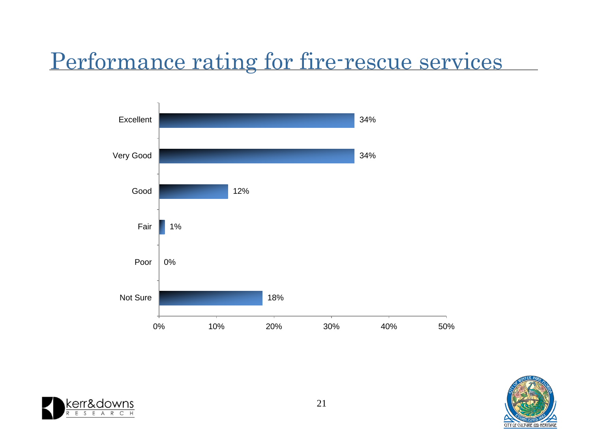#### Performance rating for fire-rescue services





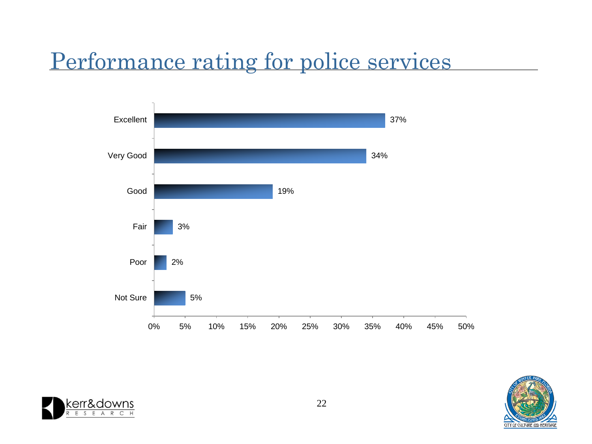#### Performance rating for police services





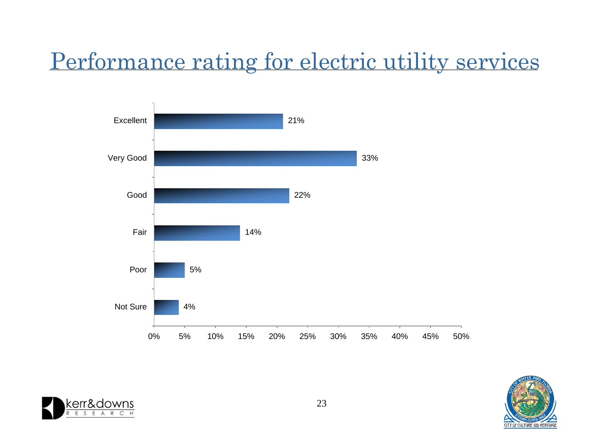### Performance rating for electric utility services





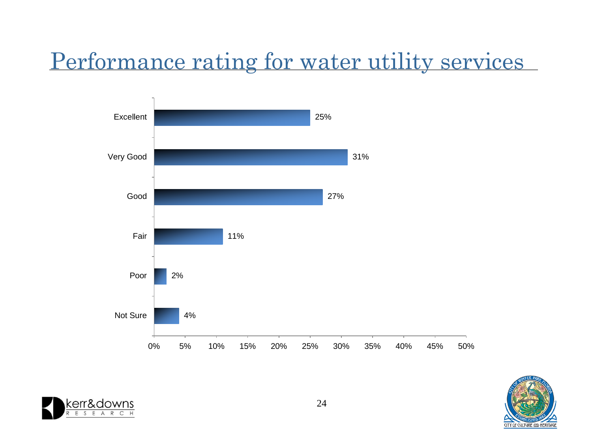### Performance rating for water utility services





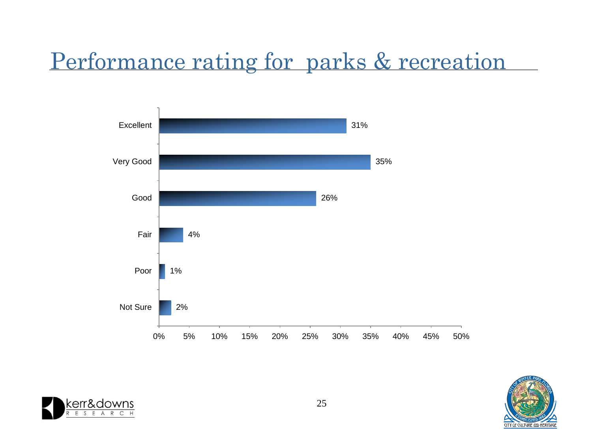### Performance rating for parks & recreation





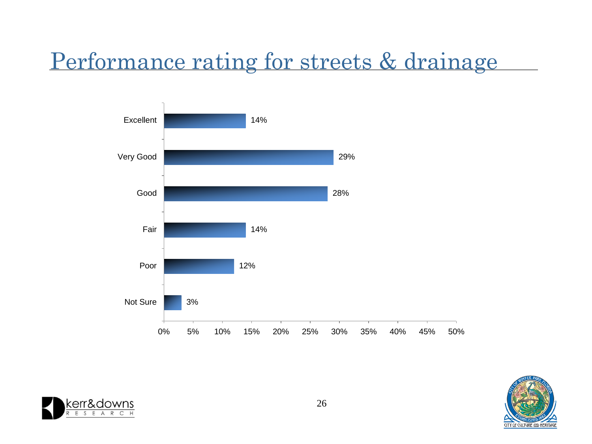#### Performance rating for streets & drainage





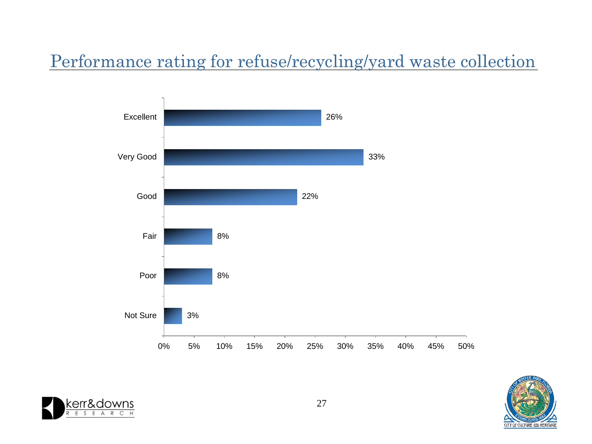#### Performance rating for refuse/recycling/yard waste collection





![](_page_26_Picture_3.jpeg)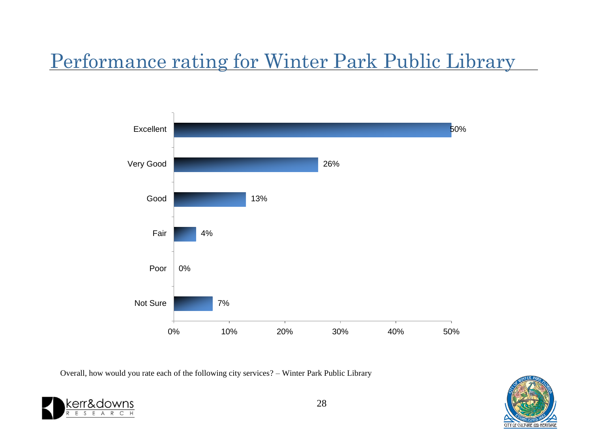#### Performance rating for Winter Park Public Library

![](_page_27_Figure_1.jpeg)

Overall, how would you rate each of the following city services? – Winter Park Public Library

![](_page_27_Picture_3.jpeg)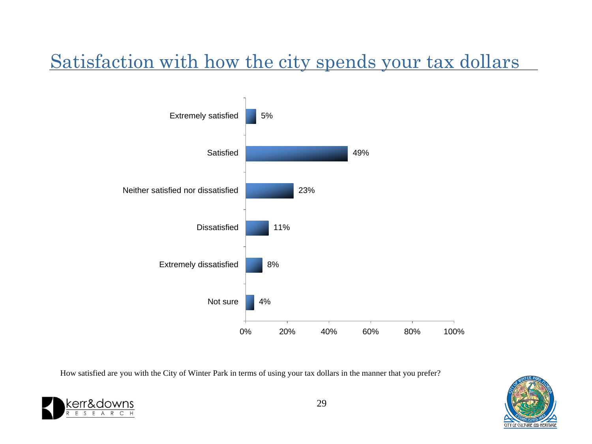#### Satisfaction with how the city spends your tax dollars

![](_page_28_Figure_1.jpeg)

How satisfied are you with the City of Winter Park in terms of using your tax dollars in the manner that you prefer?

![](_page_28_Picture_3.jpeg)

![](_page_28_Picture_5.jpeg)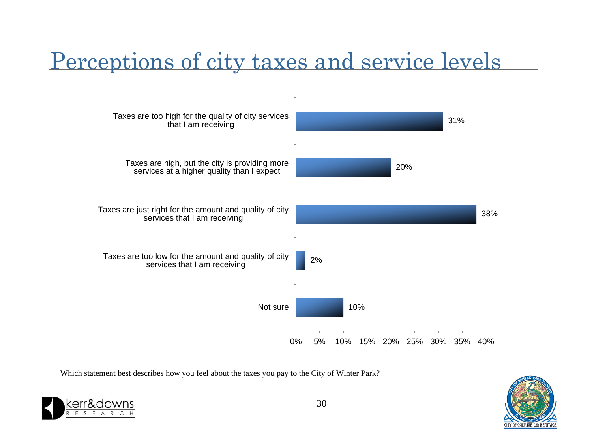### Perceptions of city taxes and service levels

![](_page_29_Figure_1.jpeg)

Which statement best describes how you feel about the taxes you pay to the City of Winter Park?

![](_page_29_Picture_3.jpeg)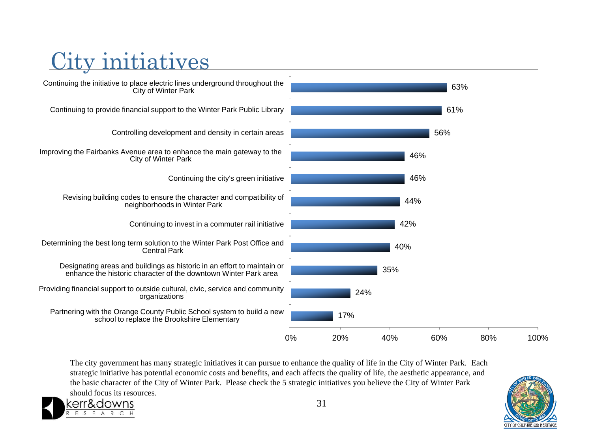### City initiatives

8. downs  $\mathsf{C}$ 

![](_page_30_Figure_1.jpeg)

The city government has many strategic initiatives it can pursue to enhance the quality of life in the City of Winter Park. Each strategic initiative has potential economic costs and benefits, and each affects the quality of life, the aesthetic appearance, and the basic character of the City of Winter Park. Please check the 5 strategic initiatives you believe the City of Winter Park should focus its resources.

![](_page_30_Picture_3.jpeg)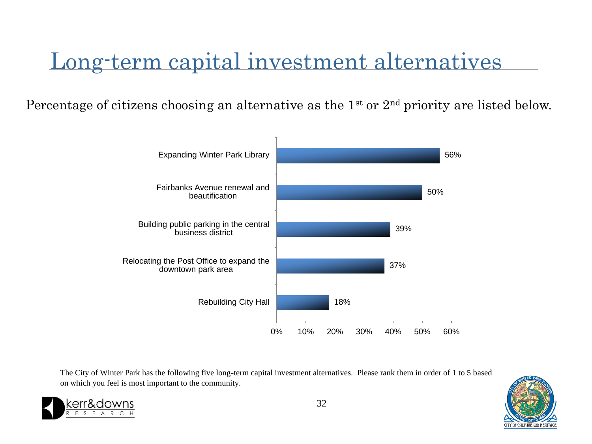### Long-term capital investment alternatives

Percentage of citizens choosing an alternative as the  $1<sup>st</sup>$  or  $2<sup>nd</sup>$  priority are listed below.

![](_page_31_Figure_2.jpeg)

The City of Winter Park has the following five long-term capital investment alternatives. Please rank them in order of 1 to 5 based on which you feel is most important to the community.

![](_page_31_Picture_4.jpeg)

![](_page_31_Picture_5.jpeg)

32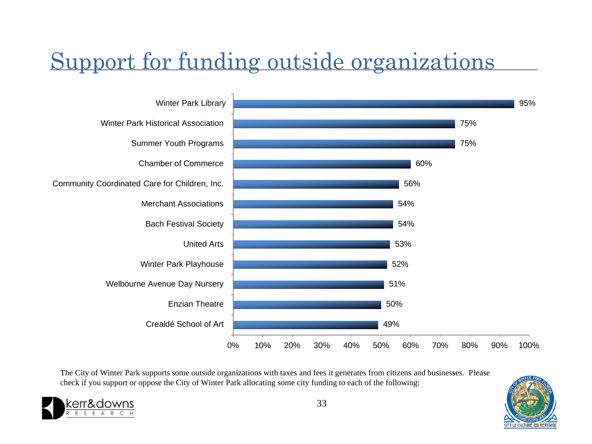## Support for funding outside organizations

![](_page_32_Figure_1.jpeg)

The City of Winter Park supports some outside organizations with taxes and fees it generates from citizens and businesses. Please check if you support or oppose the City of Winter Park allocating some city funding to each of the following:

![](_page_32_Picture_3.jpeg)

![](_page_32_Picture_5.jpeg)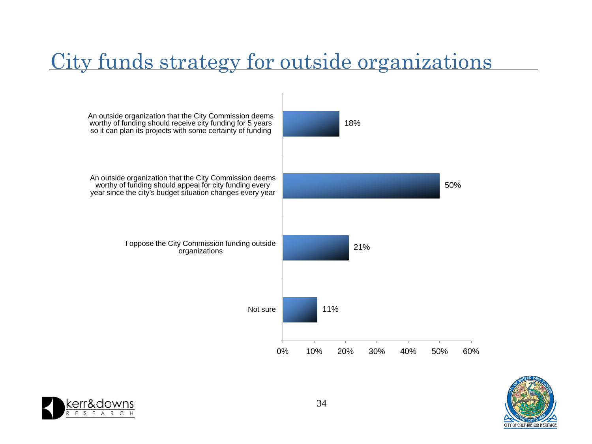#### City funds strategy for outside organizations

![](_page_33_Figure_1.jpeg)

![](_page_33_Picture_2.jpeg)

![](_page_33_Picture_3.jpeg)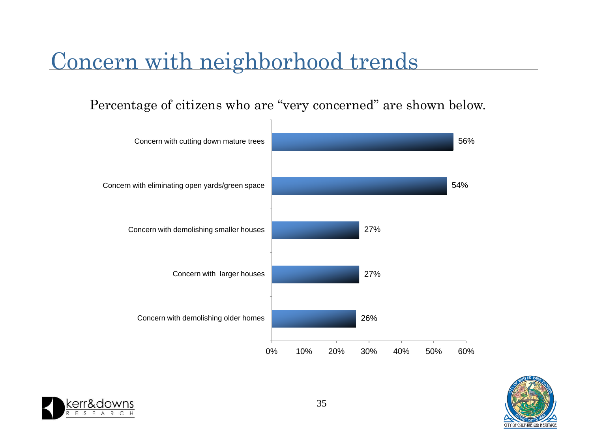#### Concern with neighborhood trends

Percentage of citizens who are "very concerned" are shown below.

![](_page_34_Figure_2.jpeg)

![](_page_34_Picture_3.jpeg)

![](_page_34_Picture_4.jpeg)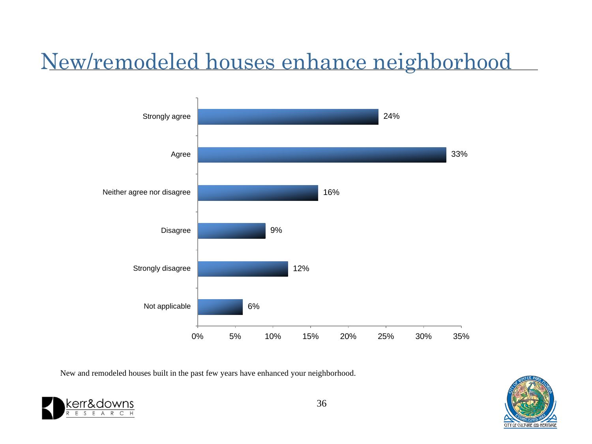## New/remodeled houses enhance neighborhood

![](_page_35_Figure_1.jpeg)

New and remodeled houses built in the past few years have enhanced your neighborhood.

![](_page_35_Picture_3.jpeg)

![](_page_35_Picture_5.jpeg)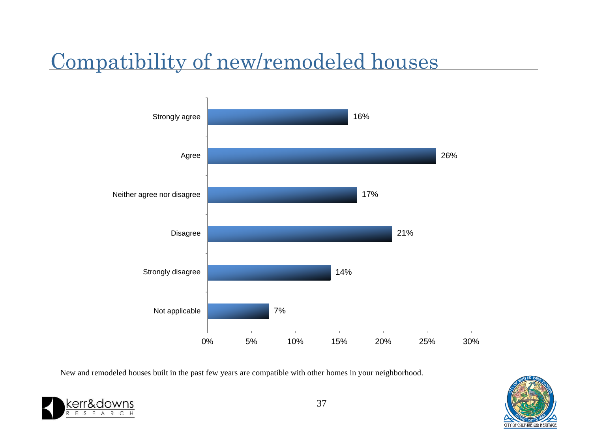#### Compatibility of new/remodeled houses

![](_page_36_Figure_1.jpeg)

New and remodeled houses built in the past few years are compatible with other homes in your neighborhood.

![](_page_36_Picture_3.jpeg)

![](_page_36_Picture_5.jpeg)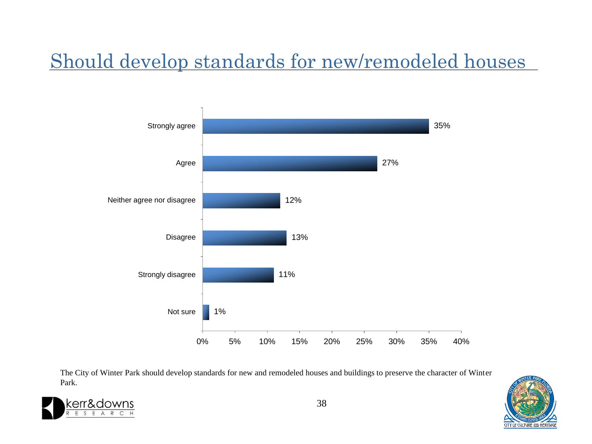#### Should develop standards for new/remodeled houses

![](_page_37_Figure_1.jpeg)

The City of Winter Park should develop standards for new and remodeled houses and buildings to preserve the character of Winter Park.

![](_page_37_Picture_3.jpeg)

![](_page_37_Picture_4.jpeg)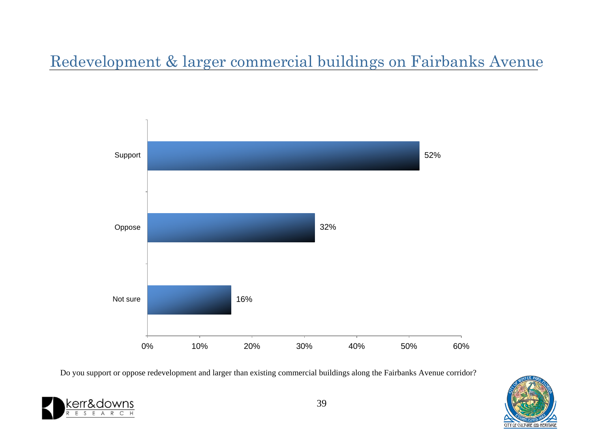#### Redevelopment & larger commercial buildings on Fairbanks Avenue

![](_page_38_Figure_1.jpeg)

Do you support or oppose redevelopment and larger than existing commercial buildings along the Fairbanks Avenue corridor?

![](_page_38_Picture_3.jpeg)

![](_page_38_Picture_4.jpeg)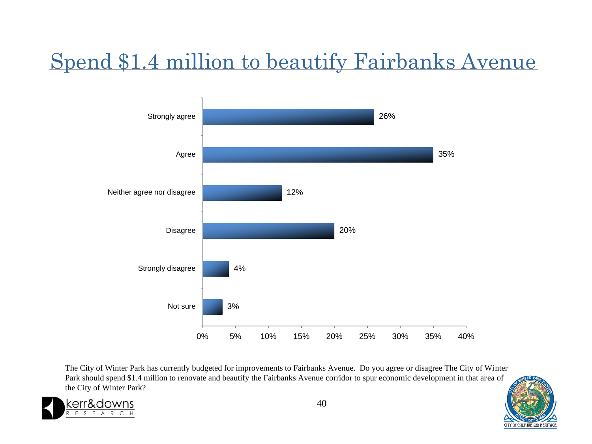### Spend \$1.4 million to beautify Fairbanks Avenue

![](_page_39_Figure_1.jpeg)

The City of Winter Park has currently budgeted for improvements to Fairbanks Avenue. Do you agree or disagree The City of Winter Park should spend \$1.4 million to renovate and beautify the Fairbanks Avenue corridor to spur economic development in that area of the City of Winter Park?

![](_page_39_Picture_3.jpeg)

![](_page_39_Picture_5.jpeg)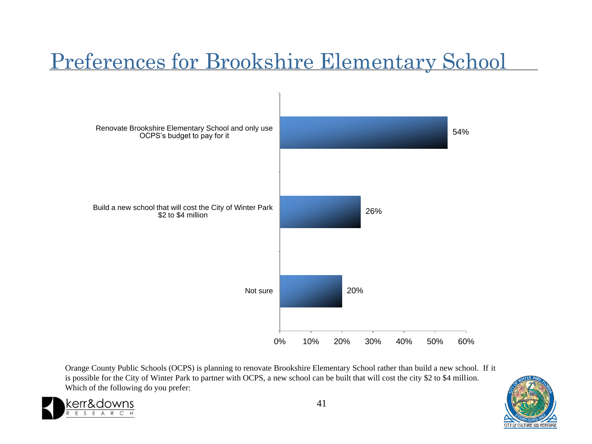### Preferences for Brookshire Elementary School

![](_page_40_Figure_1.jpeg)

Orange County Public Schools (OCPS) is planning to renovate Brookshire Elementary School rather than build a new school. If it is possible for the City of Winter Park to partner with OCPS, a new school can be built that will cost the city \$2 to \$4 million. Which of the following do you prefer:

&downs

![](_page_40_Picture_3.jpeg)

![](_page_40_Picture_4.jpeg)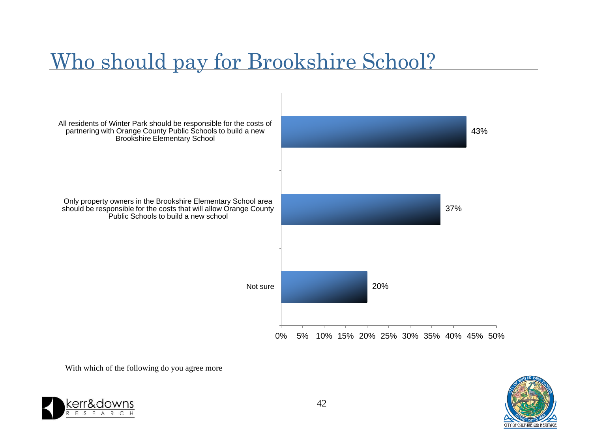#### Who should pay for Brookshire School?

![](_page_41_Figure_1.jpeg)

With which of the following do you agree more

![](_page_41_Picture_3.jpeg)

![](_page_41_Picture_4.jpeg)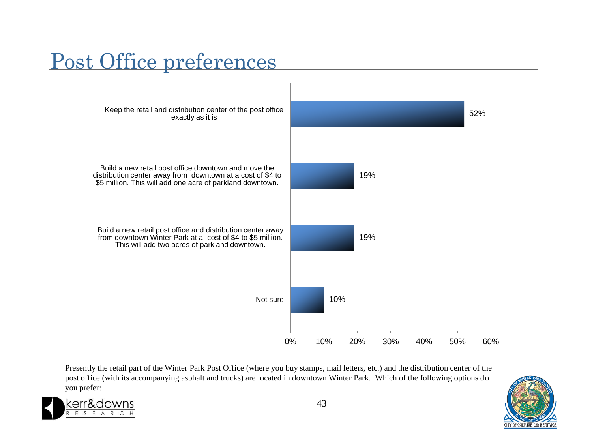#### Post Office preferences

![](_page_42_Figure_1.jpeg)

Presently the retail part of the Winter Park Post Office (where you buy stamps, mail letters, etc.) and the distribution center of the post office (with its accompanying asphalt and trucks) are located in downtown Winter Park. Which of the following options do you prefer:

![](_page_42_Picture_3.jpeg)

![](_page_42_Picture_5.jpeg)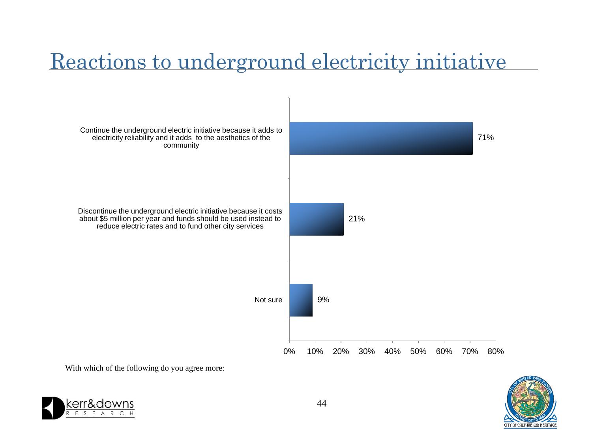#### Reactions to underground electricity initiative

![](_page_43_Figure_1.jpeg)

![](_page_43_Picture_2.jpeg)

With which of the following do you agree more:

![](_page_43_Picture_4.jpeg)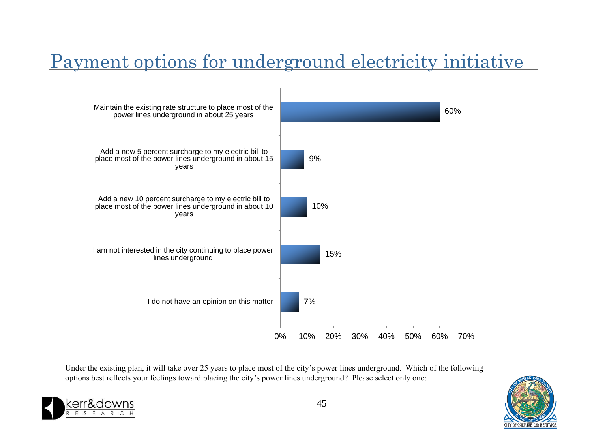#### Payment options for underground electricity initiative

![](_page_44_Figure_1.jpeg)

Under the existing plan, it will take over 25 years to place most of the city's power lines underground. Which of the following options best reflects your feelings toward placing the city's power lines underground? Please select only one:

![](_page_44_Picture_3.jpeg)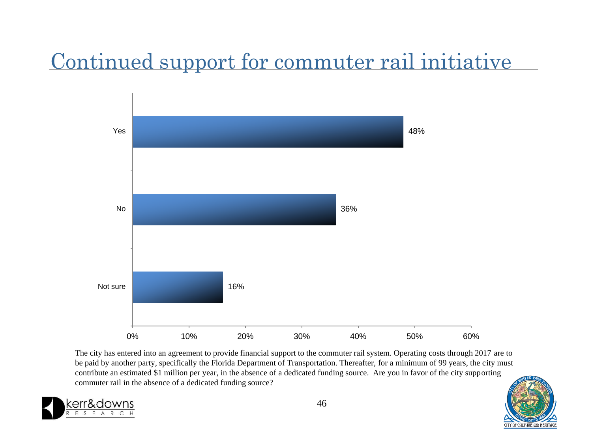### Continued support for commuter rail initiative

![](_page_45_Figure_1.jpeg)

The city has entered into an agreement to provide financial support to the commuter rail system. Operating costs through 2017 are to be paid by another party, specifically the Florida Department of Transportation. Thereafter, for a minimum of 99 years, the city must contribute an estimated \$1 million per year, in the absence of a dedicated funding source. Are you in favor of the city supporting commuter rail in the absence of a dedicated funding source?

![](_page_45_Picture_3.jpeg)

![](_page_45_Picture_5.jpeg)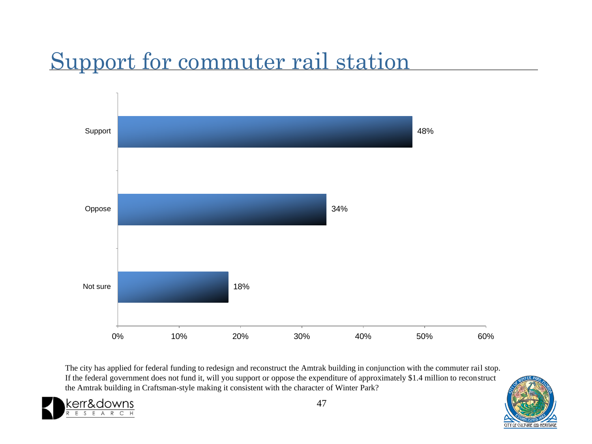### Support for commuter rail station

![](_page_46_Figure_1.jpeg)

The city has applied for federal funding to redesign and reconstruct the Amtrak building in conjunction with the commuter rail stop. If the federal government does not fund it, will you support or oppose the expenditure of approximately \$1.4 million to reconstruct the Amtrak building in Craftsman-style making it consistent with the character of Winter Park?

![](_page_46_Picture_3.jpeg)

![](_page_46_Picture_5.jpeg)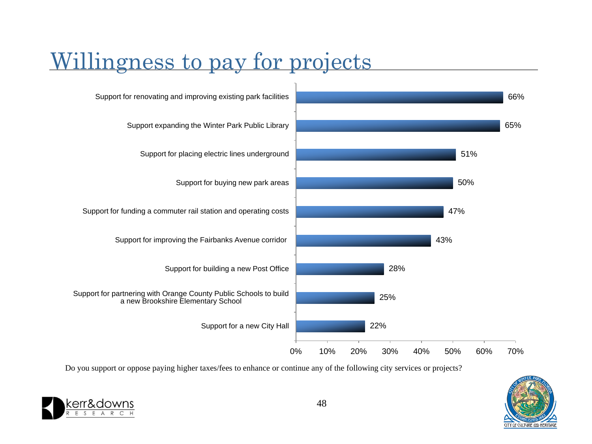### Willingness to pay for projects

![](_page_47_Figure_1.jpeg)

Do you support or oppose paying higher taxes/fees to enhance or continue any of the following city services or projects?

![](_page_47_Picture_3.jpeg)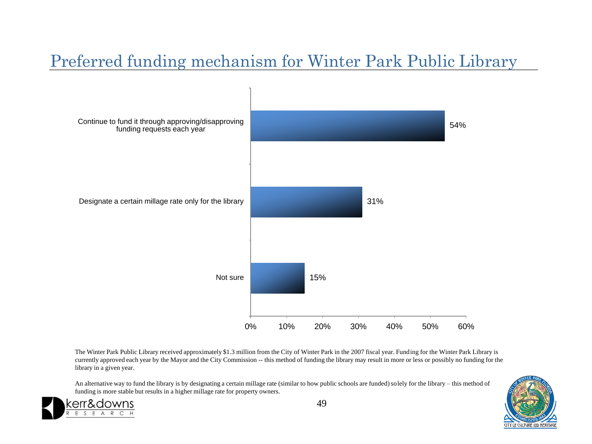#### Preferred funding mechanism for Winter Park Public Library

![](_page_48_Figure_1.jpeg)

The Winter Park Public Library received approximately \$1.3 million from the City of Winter Park in the 2007 fiscal year. Funding for the Winter Park Library is currently approved each year by the Mayor and the City Commission -- this method of funding the library may result in more or less or possibly no funding for the library in a given year.

An alternative way to fund the library is by designating a certain millage rate (similar to how public schools are funded) solely for the library – this method of funding is more stable but results in a higher millage rate for property owners.

![](_page_48_Picture_4.jpeg)

![](_page_48_Picture_6.jpeg)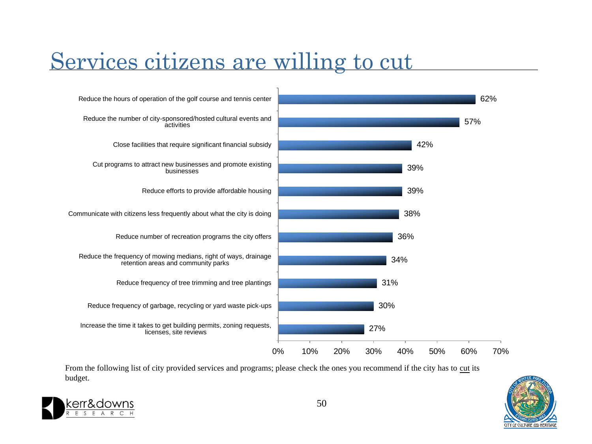#### Services citizens are willing to cut

![](_page_49_Figure_1.jpeg)

From the following list of city provided services and programs; please check the ones you recommend if the city has to cut its budget.

![](_page_49_Picture_3.jpeg)

![](_page_49_Picture_5.jpeg)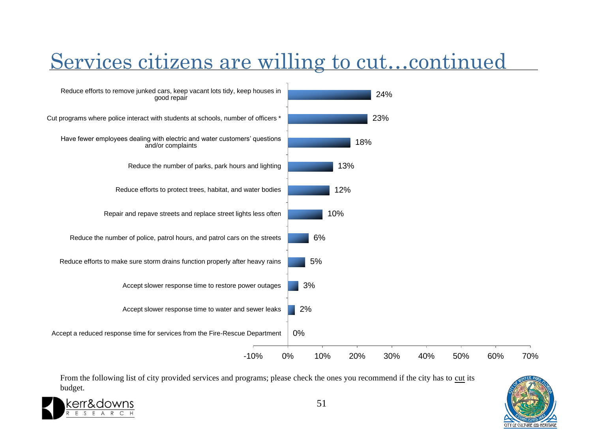#### Services citizens are willing to cut…continued

![](_page_50_Figure_1.jpeg)

From the following list of city provided services and programs; please check the ones you recommend if the city has to cut its budget.

![](_page_50_Picture_3.jpeg)

![](_page_50_Picture_5.jpeg)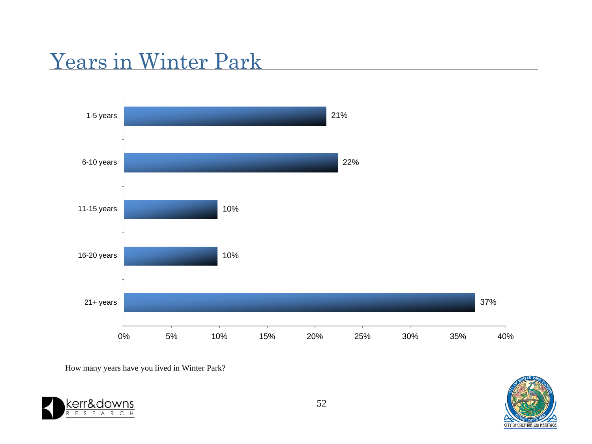#### Years in Winter Park

![](_page_51_Figure_1.jpeg)

How many years have you lived in Winter Park?

![](_page_51_Picture_3.jpeg)

![](_page_51_Picture_5.jpeg)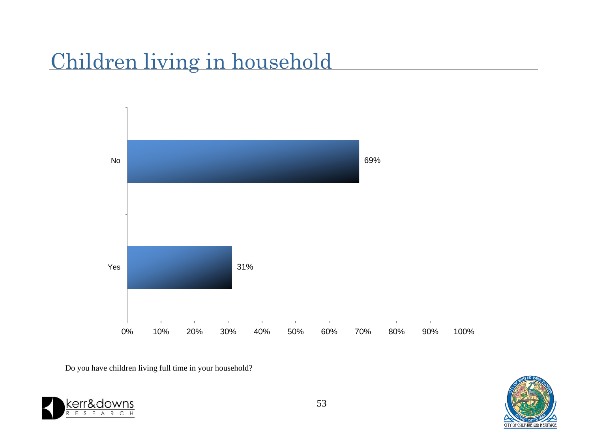#### Children living in household

![](_page_52_Figure_1.jpeg)

Do you have children living full time in your household?

![](_page_52_Picture_3.jpeg)

![](_page_52_Picture_5.jpeg)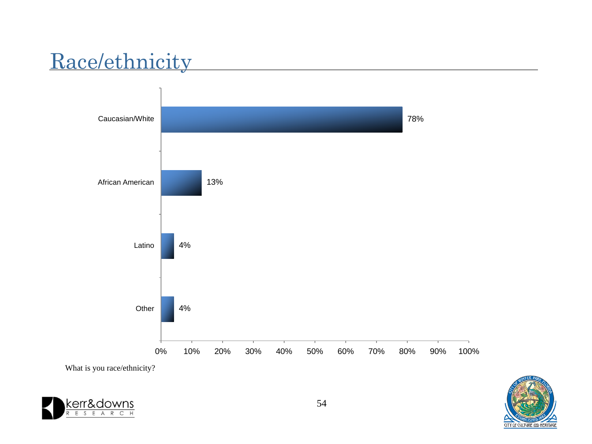### Race/ethnicity

![](_page_53_Figure_1.jpeg)

![](_page_53_Picture_2.jpeg)

![](_page_53_Picture_3.jpeg)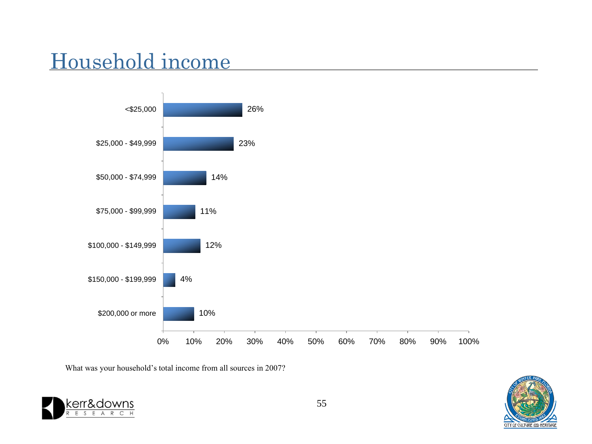### Household income

![](_page_54_Figure_1.jpeg)

What was your household's total income from all sources in 2007?

![](_page_54_Picture_3.jpeg)

![](_page_54_Picture_5.jpeg)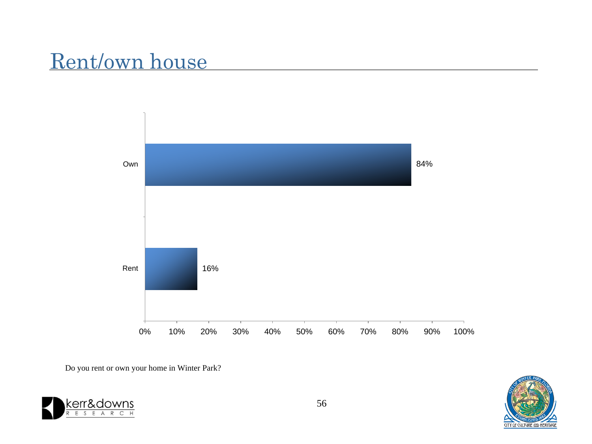#### Rent/own house

![](_page_55_Figure_1.jpeg)

Do you rent or own your home in Winter Park?

![](_page_55_Picture_3.jpeg)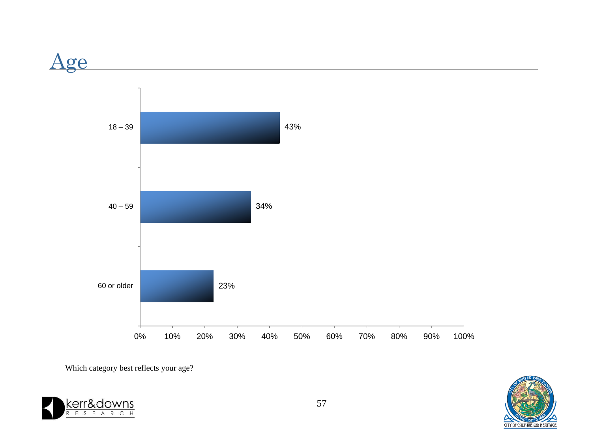![](_page_56_Figure_0.jpeg)

Which category best reflects your age?

![](_page_56_Picture_2.jpeg)

![](_page_56_Picture_3.jpeg)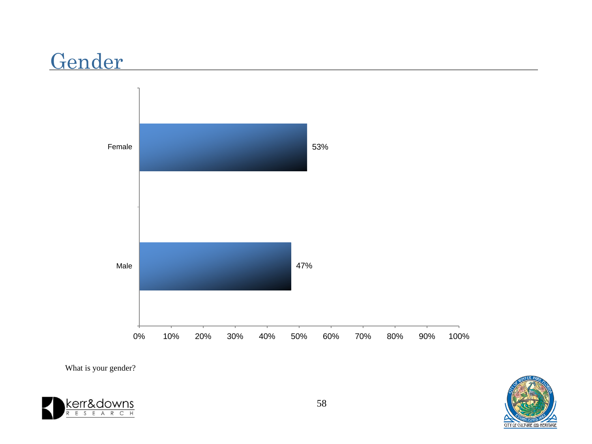#### Gender

![](_page_57_Figure_1.jpeg)

What is your gender?

![](_page_57_Picture_3.jpeg)

![](_page_57_Picture_5.jpeg)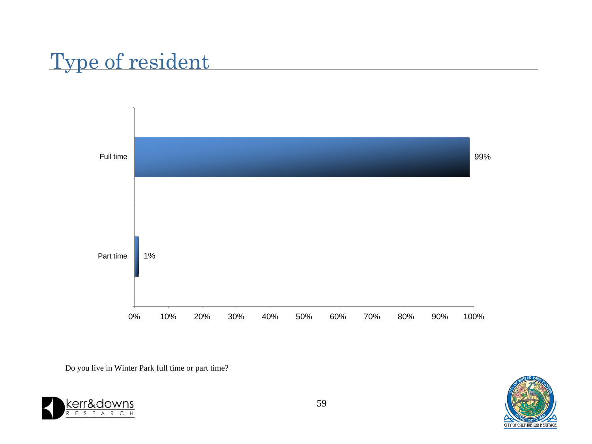### Type of resident

![](_page_58_Figure_1.jpeg)

Do you live in Winter Park full time or part time?

![](_page_58_Picture_3.jpeg)

![](_page_58_Picture_4.jpeg)